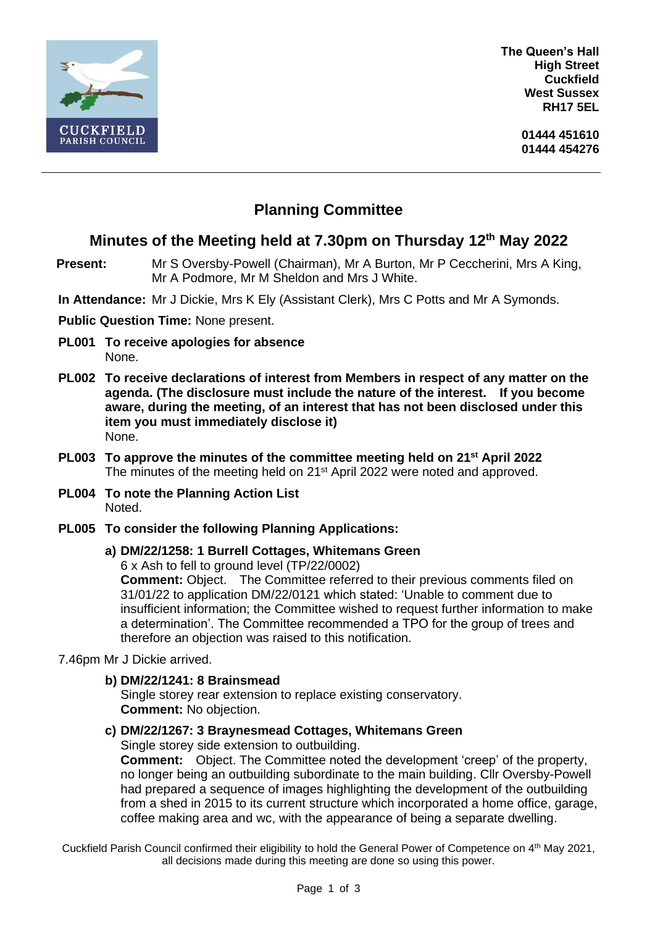

**The Queen's Hall High Street Cuckfield West Sussex RH17 5EL**

# **Planning Committee**

## **Minutes of the Meeting held at 7.30pm on Thursday 12th May 2022**

- **Present:** Mr S Oversby-Powell (Chairman), Mr A Burton, Mr P Ceccherini, Mrs A King, Mr A Podmore, Mr M Sheldon and Mrs J White.
- **In Attendance:** Mr J Dickie, Mrs K Ely (Assistant Clerk), Mrs C Potts and Mr A Symonds.

#### **Public Question Time:** None present.

- **PL001 To receive apologies for absence** None.
- **PL002 To receive declarations of interest from Members in respect of any matter on the agenda. (The disclosure must include the nature of the interest. If you become aware, during the meeting, of an interest that has not been disclosed under this item you must immediately disclose it)** None.
- **PL003 To approve the minutes of the committee meeting held on 21st April 2022** The minutes of the meeting held on 21<sup>st</sup> April 2022 were noted and approved.
- **PL004 To note the Planning Action List** Noted.
- **PL005 To consider the following Planning Applications:**

#### **a) DM/22/1258: 1 Burrell Cottages, Whitemans Green**

6 x Ash to fell to ground level (TP/22/0002)

**Comment:** Object. The Committee referred to their previous comments filed on 31/01/22 to application DM/22/0121 which stated: 'Unable to comment due to insufficient information; the Committee wished to request further information to make a determination'. The Committee recommended a TPO for the group of trees and therefore an objection was raised to this notification.

7.46pm Mr J Dickie arrived.

**b) DM/22/1241: 8 Brainsmead**

Single storey rear extension to replace existing conservatory. **Comment:** No objection.

**c) DM/22/1267: 3 Braynesmead Cottages, Whitemans Green**

Single storey side extension to outbuilding.

**Comment:** Object. The Committee noted the development 'creep' of the property, no longer being an outbuilding subordinate to the main building. Cllr Oversby-Powell had prepared a sequence of images highlighting the development of the outbuilding from a shed in 2015 to its current structure which incorporated a home office, garage, coffee making area and wc, with the appearance of being a separate dwelling.

Cuckfield Parish Council confirmed their eligibility to hold the General Power of Competence on 4th May 2021, all decisions made during this meeting are done so using this power.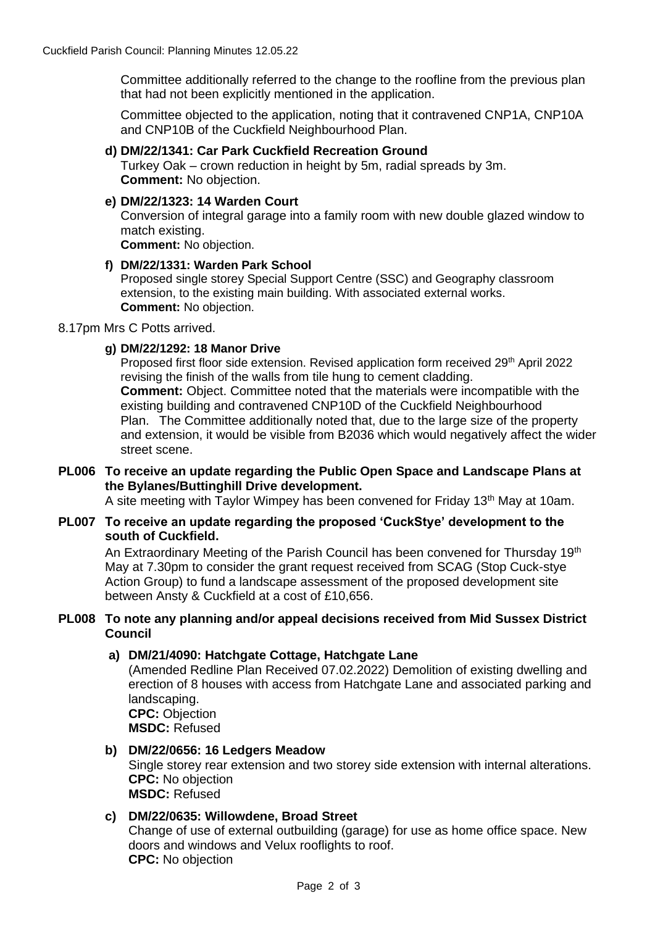Committee additionally referred to the change to the roofline from the previous plan that had not been explicitly mentioned in the application.

Committee objected to the application, noting that it contravened CNP1A, CNP10A and CNP10B of the Cuckfield Neighbourhood Plan.

#### **d) DM/22/1341: Car Park Cuckfield Recreation Ground**

Turkey Oak – crown reduction in height by 5m, radial spreads by 3m. **Comment:** No objection.

#### **e) DM/22/1323: 14 Warden Court**

Conversion of integral garage into a family room with new double glazed window to match existing.

**Comment:** No objection.

#### **f) DM/22/1331: Warden Park School**

Proposed single storey Special Support Centre (SSC) and Geography classroom extension, to the existing main building. With associated external works. **Comment:** No objection.

#### 8.17pm Mrs C Potts arrived.

#### **g) DM/22/1292: 18 Manor Drive**

Proposed first floor side extension. Revised application form received 29<sup>th</sup> April 2022 revising the finish of the walls from tile hung to cement cladding. **Comment:** Object. Committee noted that the materials were incompatible with the existing building and contravened CNP10D of the Cuckfield Neighbourhood Plan. The Committee additionally noted that, due to the large size of the property and extension, it would be visible from B2036 which would negatively affect the wider street scene.

#### **PL006 To receive an update regarding the Public Open Space and Landscape Plans at the Bylanes/Buttinghill Drive development.**

A site meeting with Taylor Wimpey has been convened for Friday 13th May at 10am.

#### **PL007 To receive an update regarding the proposed 'CuckStye' development to the south of Cuckfield.**

An Extraordinary Meeting of the Parish Council has been convened for Thursday 19<sup>th</sup> May at 7.30pm to consider the grant request received from SCAG (Stop Cuck-stye Action Group) to fund a landscape assessment of the proposed development site between Ansty & Cuckfield at a cost of £10,656.

#### **PL008 To note any planning and/or appeal decisions received from Mid Sussex District Council**

#### **a) DM/21/4090: Hatchgate Cottage, Hatchgate Lane**

(Amended Redline Plan Received 07.02.2022) Demolition of existing dwelling and erection of 8 houses with access from Hatchgate Lane and associated parking and landscaping. **CPC:** Objection

**MSDC:** Refused

#### **b) DM/22/0656: 16 Ledgers Meadow**

Single storey rear extension and two storey side extension with internal alterations. **CPC:** No objection **MSDC:** Refused

#### **c) DM/22/0635: Willowdene, Broad Street**

Change of use of external outbuilding (garage) for use as home office space. New doors and windows and Velux rooflights to roof. **CPC:** No objection